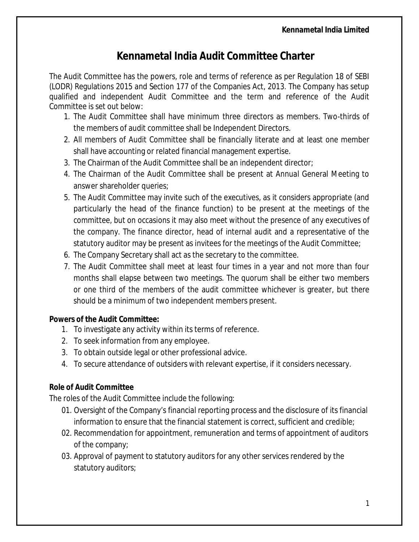## **Kennametal India Audit Committee Charter**

The Audit Committee has the powers, role and terms of reference as per Regulation 18 of SEBI (LODR) Regulations 2015 and Section 177 of the Companies Act, 2013. The Company has setup qualified and independent Audit Committee and the term and reference of the Audit Committee is set out below:

- 1. The Audit Committee shall have minimum three directors as members. Two-thirds of the members of audit committee shall be Independent Directors.
- 2. All members of Audit Committee shall be financially literate and at least one member shall have accounting or related financial management expertise.
- 3. The Chairman of the Audit Committee shall be an independent director;
- 4. The Chairman of the Audit Committee shall be present at Annual General Meeting to answer shareholder queries;
- 5. The Audit Committee may invite such of the executives, as it considers appropriate (and particularly the head of the finance function) to be present at the meetings of the committee, but on occasions it may also meet without the presence of any executives of the company. The finance director, head of internal audit and a representative of the statutory auditor may be present as invitees for the meetings of the Audit Committee;
- 6. The Company Secretary shall act as the secretary to the committee.
- 7. The Audit Committee shall meet at least four times in a year and not more than four months shall elapse between two meetings. The quorum shall be either two members or one third of the members of the audit committee whichever is greater, but there should be a minimum of two independent members present.

## **Powers of the Audit Committee:**

- 1. To investigate any activity within its terms of reference.
- 2. To seek information from any employee.
- 3. To obtain outside legal or other professional advice.
- 4. To secure attendance of outsiders with relevant expertise, if it considers necessary.

## **Role of Audit Committee**

The roles of the Audit Committee include the following:

- 01. Oversight of the Company's financial reporting process and the disclosure of its financial information to ensure that the financial statement is correct, sufficient and credible;
- 02. Recommendation for appointment, remuneration and terms of appointment of auditors of the company;
- 03. Approval of payment to statutory auditors for any other services rendered by the statutory auditors;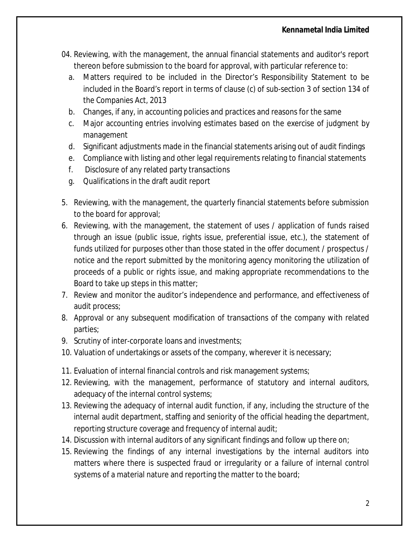- 04. Reviewing, with the management, the annual financial statements and auditor's report thereon before submission to the board for approval, with particular reference to:
	- a. Matters required to be included in the Director's Responsibility Statement to be included in the Board's report in terms of clause (c) of sub-section 3 of section 134 of the Companies Act, 2013
	- b. Changes, if any, in accounting policies and practices and reasons for the same
	- c. Major accounting entries involving estimates based on the exercise of judgment by management
	- d. Significant adjustments made in the financial statements arising out of audit findings
	- e. Compliance with listing and other legal requirements relating to financial statements
	- f. Disclosure of any related party transactions
	- g. Qualifications in the draft audit report
- 5. Reviewing, with the management, the quarterly financial statements before submission to the board for approval;
- 6. Reviewing, with the management, the statement of uses / application of funds raised through an issue (public issue, rights issue, preferential issue, etc.), the statement of funds utilized for purposes other than those stated in the offer document / prospectus / notice and the report submitted by the monitoring agency monitoring the utilization of proceeds of a public or rights issue, and making appropriate recommendations to the Board to take up steps in this matter;
- 7. Review and monitor the auditor's independence and performance, and effectiveness of audit process;
- 8. Approval or any subsequent modification of transactions of the company with related parties;
- 9. Scrutiny of inter-corporate loans and investments;
- 10. Valuation of undertakings or assets of the company, wherever it is necessary;
- 11. Evaluation of internal financial controls and risk management systems;
- 12. Reviewing, with the management, performance of statutory and internal auditors, adequacy of the internal control systems;
- 13. Reviewing the adequacy of internal audit function, if any, including the structure of the internal audit department, staffing and seniority of the official heading the department, reporting structure coverage and frequency of internal audit;
- 14. Discussion with internal auditors of any significant findings and follow up there on;
- 15. Reviewing the findings of any internal investigations by the internal auditors into matters where there is suspected fraud or irregularity or a failure of internal control systems of a material nature and reporting the matter to the board;